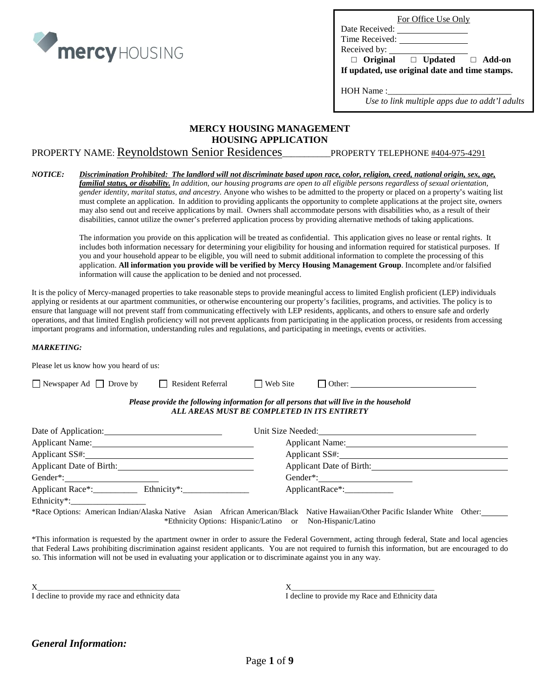

For Office Use Only

Date Received: Time Received:

Received by:

 **□ Original □ Updated □ Add-on If updated, use original date and time stamps.**

HOH Name :\_\_\_\_\_\_\_\_\_\_\_\_\_\_\_\_\_\_\_\_\_\_\_\_\_\_\_\_

*Use to link multiple apps due to addt'l adults*

## **MERCY HOUSING MANAGEMENT HOUSING APPLICATION**

# PROPERTY NAME: Reynoldstown Senior Residences\_\_\_\_\_\_\_\_\_\_\_PROPERTY TELEPHONE #404-975-4291

#### *NOTICE: Discrimination Prohibited: The landlord will not discriminate based upon race, color, religion, creed, national origin, sex, age, familial status, or disability. In addition, our housing programs are open to all eligible persons regardless of sexual orientation, gender identity, marital status, and ancestry.* Anyone who wishes to be admitted to the property or placed on a property's waiting list must complete an application. In addition to providing applicants the opportunity to complete applications at the project site, owners may also send out and receive applications by mail. Owners shall accommodate persons with disabilities who, as a result of their disabilities, cannot utilize the owner's preferred application process by providing alternative methods of taking applications.

The information you provide on this application will be treated as confidential. This application gives no lease or rental rights. It includes both information necessary for determining your eligibility for housing and information required for statistical purposes. If you and your household appear to be eligible, you will need to submit additional information to complete the processing of this application. **All information you provide will be verified by Mercy Housing Management Group**. Incomplete and/or falsified information will cause the application to be denied and not processed.

It is the policy of Mercy-managed properties to take reasonable steps to provide meaningful access to limited English proficient (LEP) individuals applying or residents at our apartment communities, or otherwise encountering our property's facilities, programs, and activities. The policy is to ensure that language will not prevent staff from communicating effectively with LEP residents, applicants, and others to ensure safe and orderly operations, and that limited English proficiency will not prevent applicants from participating in the application process, or residents from accessing important programs and information, understanding rules and regulations, and participating in meetings, events or activities.

#### *MARKETING:*

| Please let us know how you heard of us: |                                             |                 |                                                                                          |  |
|-----------------------------------------|---------------------------------------------|-----------------|------------------------------------------------------------------------------------------|--|
| $\Box$ Newspaper Ad $\Box$ Drove by     | $\Box$ Resident Referral                    | $\Box$ Web Site |                                                                                          |  |
|                                         | ALL AREAS MUST BE COMPLETED IN ITS ENTIRETY |                 | Please provide the following information for all persons that will live in the household |  |
| Date of Application:                    |                                             |                 | Unit Size Needed: New York 1988                                                          |  |
| Applicant Name:                         |                                             |                 | Applicant Name:                                                                          |  |
| Applicant SS#:                          |                                             |                 | Applicant SS#:                                                                           |  |
| Applicant Date of Birth:                |                                             |                 | Applicant Date of Birth:                                                                 |  |

Gender\*: Gender\*: Applicant Race\*:\_\_\_\_\_\_\_\_\_\_ Ethnicity\*:\_\_\_\_\_\_\_\_\_\_\_\_\_\_\_ ApplicantRace\*:\_\_\_\_\_\_\_\_\_\_\_

Ethnicity\*:\_\_\_\_\_\_\_\_\_\_\_\_\_\_\_\_\_

\*Race Options: American Indian/Alaska Native Asian African American/Black Native Hawaiian/Other Pacific Islander White Other: \*Ethnicity Options: Hispanic/Latino or Non-Hispanic/Latino

\*This information is requested by the apartment owner in order to assure the Federal Government, acting through federal, State and local agencies that Federal Laws prohibiting discrimination against resident applicants. You are not required to furnish this information, but are encouraged to do so. This information will not be used in evaluating your application or to discriminate against you in any way.

I decline to provide my race and ethnicity data I decline to provide my Race and Ethnicity data

 $X$  , and the set of  $X$  , and  $X$  , and  $X$  , and  $X$  , and  $X$  , and  $X$  , and  $X$  , and  $X$  , and  $X$  , and  $X$  , and  $X$  , and  $X$  , and  $X$  , and  $X$  , and  $X$  , and  $X$  , and  $X$  , and  $X$  , and  $X$  , and  $X$  , and

# *General Information:*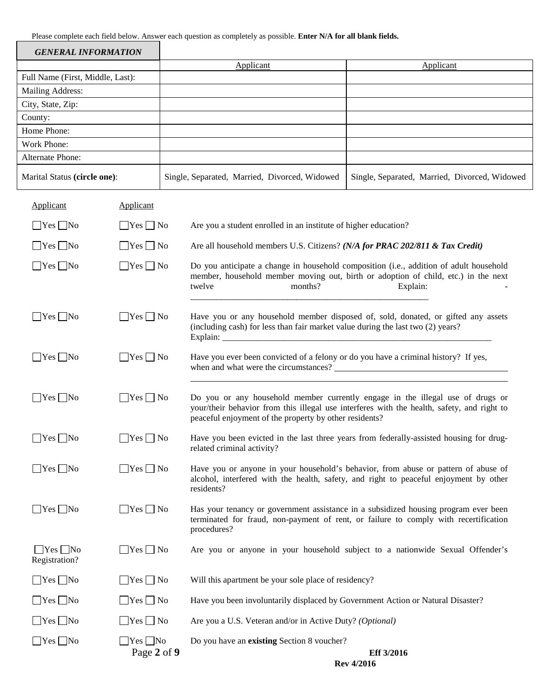Please complete each field below. Answer each question as completely as possible. **Enter N/A for all blank fields.**

| <b>GENERAL INFORMATION</b>             |                      |                                                                                     |                                                                                                                                                                                          |
|----------------------------------------|----------------------|-------------------------------------------------------------------------------------|------------------------------------------------------------------------------------------------------------------------------------------------------------------------------------------|
|                                        |                      | Applicant                                                                           | Applicant                                                                                                                                                                                |
| Full Name (First, Middle, Last):       |                      |                                                                                     |                                                                                                                                                                                          |
| Mailing Address:                       |                      |                                                                                     |                                                                                                                                                                                          |
| City, State, Zip:                      |                      |                                                                                     |                                                                                                                                                                                          |
| County:                                |                      |                                                                                     |                                                                                                                                                                                          |
| Home Phone:                            |                      |                                                                                     |                                                                                                                                                                                          |
| Work Phone:<br><b>Alternate Phone:</b> |                      |                                                                                     |                                                                                                                                                                                          |
|                                        |                      |                                                                                     |                                                                                                                                                                                          |
| Marital Status (circle one):           |                      | Single, Separated, Married, Divorced, Widowed                                       | Single, Separated, Married, Divorced, Widowed                                                                                                                                            |
| Applicant                              | Applicant            |                                                                                     |                                                                                                                                                                                          |
| $\Box$ Yes $\Box$ No                   | $\Box$ Yes $\Box$ No | Are you a student enrolled in an institute of higher education?                     |                                                                                                                                                                                          |
| $\Box$ Yes $\Box$ No                   | $\Box$ Yes $\Box$ No | Are all household members U.S. Citizens? (N/A for PRAC 202/811 & Tax Credit)        |                                                                                                                                                                                          |
| $\Box$ Yes $\Box$ No                   | $\Box$ Yes $\Box$ No | months?<br>twelve                                                                   | Do you anticipate a change in household composition (i.e., addition of adult household<br>member, household member moving out, birth or adoption of child, etc.) in the next<br>Explain: |
| $\Box$ Yes $\Box$ No                   | $\Box$ Yes $\Box$ No | (including cash) for less than fair market value during the last two (2) years?     | Have you or any household member disposed of, sold, donated, or gifted any assets                                                                                                        |
| $\Box$ Yes $\Box$ No                   | $\Box$ Yes $\Box$ No | Have you ever been convicted of a felony or do you have a criminal history? If yes, |                                                                                                                                                                                          |
| $\Box$ Yes $\Box$ No                   | $\Box$ Yes $\Box$ No | peaceful enjoyment of the property by other residents?                              | Do you or any household member currently engage in the illegal use of drugs or<br>your/their behavior from this illegal use interferes with the health, safety, and right to             |
| $\Box$ Yes $\Box$ No                   | $\Box$ Yes $\Box$ No | related criminal activity?                                                          | Have you been evicted in the last three years from federally-assisted housing for drug-                                                                                                  |
| $\Box$ Yes $\Box$ No                   | $\Box$ Yes $\Box$ No | residents?                                                                          | Have you or anyone in your household's behavior, from abuse or pattern of abuse of<br>alcohol, interfered with the health, safety, and right to peaceful enjoyment by other              |
| $\Box$ Yes $\Box$ No                   | $\Box$ Yes $\Box$ No | procedures?                                                                         | Has your tenancy or government assistance in a subsidized housing program ever been<br>terminated for fraud, non-payment of rent, or failure to comply with recertification              |
| $\Box$ Yes $\Box$ No<br>Registration?  | $\Box$ Yes $\Box$ No |                                                                                     | Are you or anyone in your household subject to a nationwide Sexual Offender's                                                                                                            |
| $\Box$ Yes $\Box$ No                   | $\Box$ Yes $\Box$ No | Will this apartment be your sole place of residency?                                |                                                                                                                                                                                          |
| $\Box$ Yes $\Box$ No                   | $\Box$ Yes $\Box$ No | Have you been involuntarily displaced by Government Action or Natural Disaster?     |                                                                                                                                                                                          |
| $\Box$ Yes $\Box$ No                   | $\Box$ Yes $\Box$ No | Are you a U.S. Veteran and/or in Active Duty? (Optional)                            |                                                                                                                                                                                          |

|  | Are you a O.S. Veteran and/or in Active Duty: (Option |  |
|--|-------------------------------------------------------|--|
|  |                                                       |  |

Yes No Yes No Do you have an **existing** Section 8 voucher?

Page 2 of 9 Eff 3/2016 **Rev 4/2016**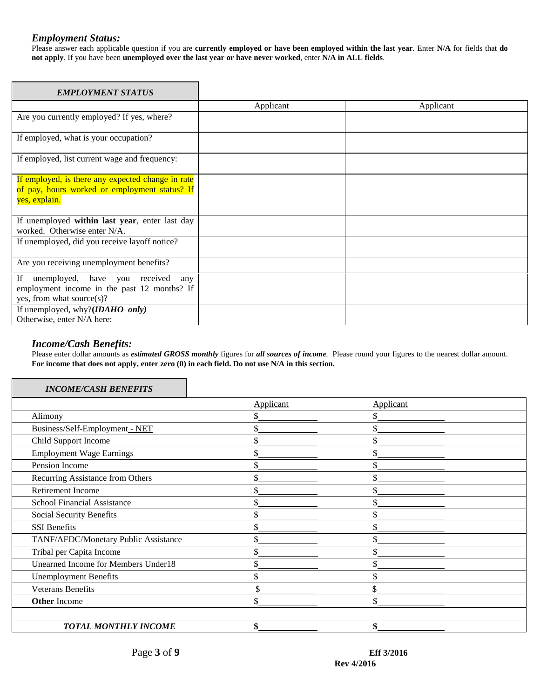## *Employment Status:*

Please answer each applicable question if you are **currently employed or have been employed within the last year**. Enter **N/A** for fields that **do not apply**. If you have been **unemployed over the last year or have never worked**, enter **N/A in ALL fields**.

| <b>EMPLOYMENT STATUS</b>                                                                                               |                  |           |
|------------------------------------------------------------------------------------------------------------------------|------------------|-----------|
|                                                                                                                        | <b>Applicant</b> | Applicant |
| Are you currently employed? If yes, where?                                                                             |                  |           |
| If employed, what is your occupation?                                                                                  |                  |           |
| If employed, list current wage and frequency:                                                                          |                  |           |
| If employed, is there any expected change in rate<br>of pay, hours worked or employment status? If<br>yes, explain.    |                  |           |
| If unemployed within last year, enter last day<br>worked. Otherwise enter N/A.                                         |                  |           |
| If unemployed, did you receive layoff notice?                                                                          |                  |           |
| Are you receiving unemployment benefits?                                                                               |                  |           |
| If<br>unemployed, have you received<br>any<br>employment income in the past 12 months? If<br>yes, from what source(s)? |                  |           |
| If unemployed, why? $(IDABO \text{ only})$<br>Otherwise, enter N/A here:                                               |                  |           |

## *Income/Cash Benefits:*

Please enter dollar amounts as *estimated GROSS monthly* figures for *all sources of income.* Please round your figures to the nearest dollar amount. **For income that does not apply, enter zero (0) in each field. Do not use N/A in this section.**

| <b>INCOME/CASH BENEFITS</b>          |           |           |  |
|--------------------------------------|-----------|-----------|--|
|                                      | Applicant | Applicant |  |
| Alimony                              |           |           |  |
| Business/Self-Employment - NET       |           |           |  |
| Child Support Income                 |           |           |  |
| <b>Employment Wage Earnings</b>      |           |           |  |
| Pension Income                       |           |           |  |
| Recurring Assistance from Others     |           |           |  |
| Retirement Income                    |           |           |  |
| <b>School Financial Assistance</b>   |           |           |  |
| Social Security Benefits             |           |           |  |
| <b>SSI</b> Benefits                  |           |           |  |
| TANF/AFDC/Monetary Public Assistance |           |           |  |
| Tribal per Capita Income             |           |           |  |
| Unearned Income for Members Under18  |           |           |  |
| <b>Unemployment Benefits</b>         | \$        |           |  |
| <b>Veterans Benefits</b>             |           |           |  |
| <b>Other Income</b>                  | \$        |           |  |
| <b>TOTAL MONTHLY INCOME</b>          |           |           |  |

٦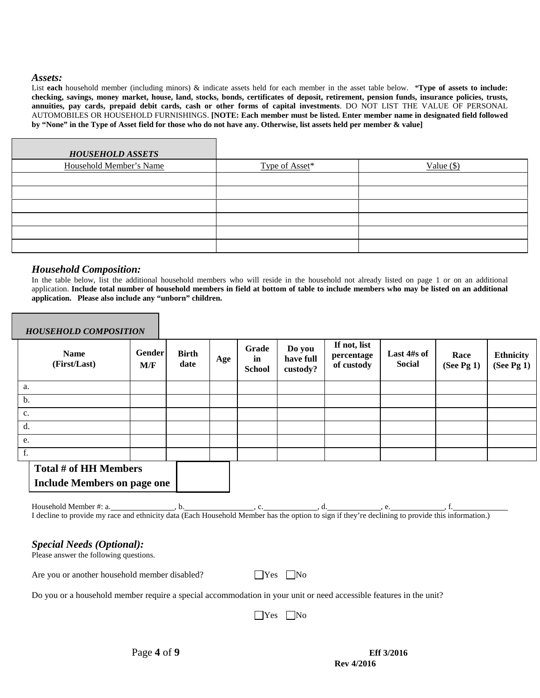#### *Assets:*

List **each** household member (including minors) & indicate assets held for each member in the asset table below. \***Type of assets to include: checking, savings, money market, house, land, stocks, bonds, certificates of deposit, retirement, pension funds, insurance policies, trusts, annuities, pay cards, prepaid debit cards, cash or other forms of capital investments**. DO NOT LIST THE VALUE OF PERSONAL AUTOMOBILES OR HOUSEHOLD FURNISHINGS. **[NOTE: Each member must be listed. Enter member name in designated field followed by "None" in the Type of Asset field for those who do not have any. Otherwise, list assets held per member & value]**

| <b>HOUSEHOLD ASSETS</b> |                |              |
|-------------------------|----------------|--------------|
| Household Member's Name | Type of Asset* | Value $(\$)$ |
|                         |                |              |
|                         |                |              |
|                         |                |              |
|                         |                |              |
|                         |                |              |
|                         |                |              |

## *Household Composition:*

In the table below, list the additional household members who will reside in the household not already listed on page 1 or on an additional application. **Include total number of household members in field at bottom of table to include members who may be listed on an additional application. Please also include any "unborn" children.**

| <b>HOUSEHOLD COMPOSITION</b>                                                                                                                     |                      |                      |     |                              |                                 |                                          |                       |                       |                                |
|--------------------------------------------------------------------------------------------------------------------------------------------------|----------------------|----------------------|-----|------------------------------|---------------------------------|------------------------------------------|-----------------------|-----------------------|--------------------------------|
| <b>Name</b><br>(First/Last)                                                                                                                      | <b>Gender</b><br>M/F | <b>Birth</b><br>date | Age | Grade<br>in<br><b>School</b> | Do you<br>have full<br>custody? | If not, list<br>percentage<br>of custody | Last 4#s of<br>Social | Race<br>(See Pg $1$ ) | <b>Ethnicity</b><br>(See Pg 1) |
| a.                                                                                                                                               |                      |                      |     |                              |                                 |                                          |                       |                       |                                |
| b.                                                                                                                                               |                      |                      |     |                              |                                 |                                          |                       |                       |                                |
| c.                                                                                                                                               |                      |                      |     |                              |                                 |                                          |                       |                       |                                |
| d.                                                                                                                                               |                      |                      |     |                              |                                 |                                          |                       |                       |                                |
| e.                                                                                                                                               |                      |                      |     |                              |                                 |                                          |                       |                       |                                |
| f.                                                                                                                                               |                      |                      |     |                              |                                 |                                          |                       |                       |                                |
| Total # of HH Members<br><b>Include Members on page one</b>                                                                                      |                      |                      |     |                              |                                 |                                          |                       |                       |                                |
| I decline to provide my race and ethnicity data (Each Household Member has the option to sign if they're declining to provide this information.) |                      |                      |     |                              |                                 |                                          |                       |                       |                                |
|                                                                                                                                                  |                      |                      |     |                              |                                 |                                          |                       |                       |                                |

## *Special Needs (Optional):*

Please answer the following questions.

Are you or another household member disabled?  $\Box$  Yes  $\Box$  No

Do you or a household member require a special accommodation in your unit or need accessible features in the unit?

No No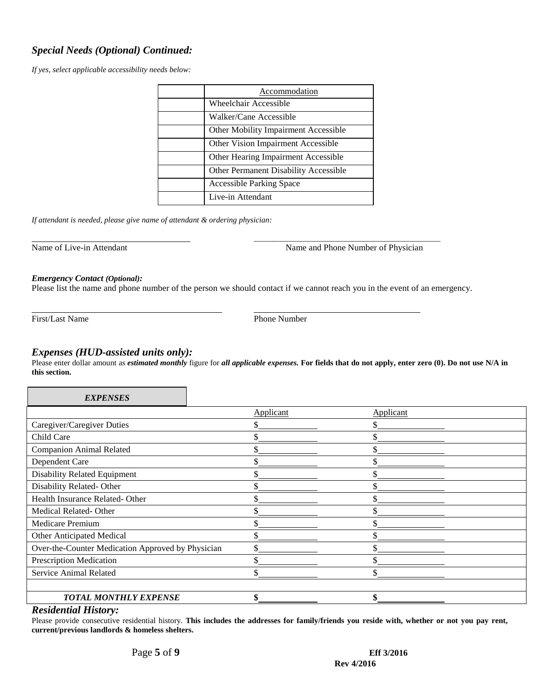# *Special Needs (Optional) Continued:*

*If yes, select applicable accessibility needs below:*

| Accommodation                                |
|----------------------------------------------|
| Wheelchair Accessible                        |
| Walker/Cane Accessible                       |
| Other Mobility Impairment Accessible         |
| Other Vision Impairment Accessible           |
| Other Hearing Impairment Accessible          |
| <b>Other Permanent Disability Accessible</b> |
| <b>Accessible Parking Space</b>              |
| Live-in Attendant                            |
|                                              |

*If attendant is needed, please give name of attendant & ordering physician:*

\_\_\_\_\_\_\_\_\_\_\_\_\_\_\_\_\_\_\_\_\_\_\_\_\_\_\_\_\_\_\_\_\_\_\_\_\_\_\_\_\_\_\_\_\_\_\_ Name of Live-in Attendant Name and Phone Number of Physician

#### *Emergency Contact (Optional):*

Please list the name and phone number of the person we should contact if we cannot reach you in the event of an emergency.

First/Last Name Phone Number

# *Expenses (HUD-assisted units only):*

Please enter dollar amount as *estimated monthly* figure for *all applicable expenses.* **For fields that do not apply, enter zero (0). Do not use N/A in this section.**

| <b>EXPENSES</b>                                   |                  |           |  |
|---------------------------------------------------|------------------|-----------|--|
|                                                   | <b>Applicant</b> | Applicant |  |
| Caregiver/Caregiver Duties                        |                  |           |  |
| Child Care                                        |                  |           |  |
| <b>Companion Animal Related</b>                   |                  |           |  |
| Dependent Care                                    | Φ                |           |  |
| Disability Related Equipment                      |                  |           |  |
| Disability Related-Other                          |                  |           |  |
| Health Insurance Related-Other                    | Φ<br>.ħ          |           |  |
| Medical Related-Other                             | ፍ                |           |  |
| <b>Medicare Premium</b>                           | ¢                |           |  |
| Other Anticipated Medical                         | ¢                | ሖ         |  |
| Over-the-Counter Medication Approved by Physician |                  |           |  |
| Prescription Medication                           |                  |           |  |
| Service Animal Related                            | \$               |           |  |
|                                                   |                  |           |  |
| <b>TOTAL MONTHLY EXPENSE</b>                      | ሐ                |           |  |

#### *Residential History:*

Please provide consecutive residential history. **This includes the addresses for family/friends you reside with, whether or not you pay rent, current/previous landlords & homeless shelters.**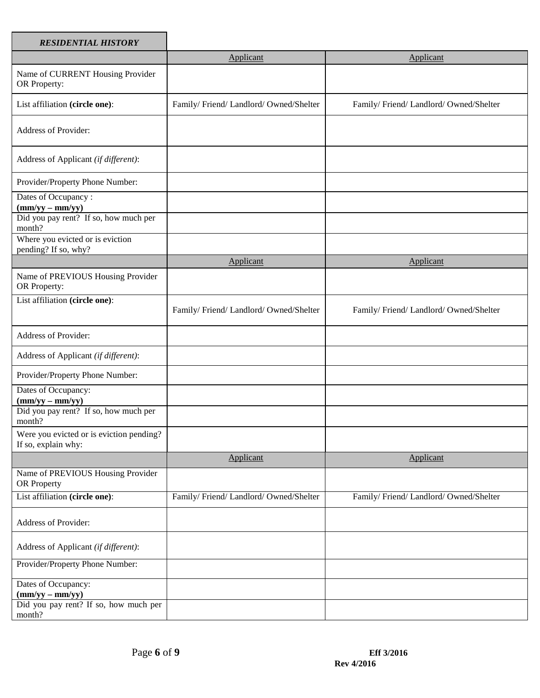| <b>RESIDENTIAL HISTORY</b>                                                    |                                      |                                      |
|-------------------------------------------------------------------------------|--------------------------------------|--------------------------------------|
|                                                                               | Applicant                            | Applicant                            |
| Name of CURRENT Housing Provider<br>OR Property:                              |                                      |                                      |
| List affiliation (circle one):                                                | Family/Friend/Landlord/Owned/Shelter | Family/Friend/Landlord/Owned/Shelter |
| <b>Address of Provider:</b>                                                   |                                      |                                      |
| Address of Applicant (if different):                                          |                                      |                                      |
| Provider/Property Phone Number:                                               |                                      |                                      |
| Dates of Occupancy:<br>$(mm/yy - mm/yy)$                                      |                                      |                                      |
| Did you pay rent? If so, how much per<br>month?                               |                                      |                                      |
| Where you evicted or is eviction<br>pending? If so, why?                      |                                      |                                      |
|                                                                               | Applicant                            | Applicant                            |
| Name of PREVIOUS Housing Provider<br>OR Property:                             |                                      |                                      |
| List affiliation (circle one):                                                | Family/Friend/Landlord/Owned/Shelter | Family/Friend/Landlord/Owned/Shelter |
| Address of Provider:                                                          |                                      |                                      |
| Address of Applicant (if different):                                          |                                      |                                      |
| Provider/Property Phone Number:                                               |                                      |                                      |
| Dates of Occupancy:<br>$(mm/yy - mm/yy)$                                      |                                      |                                      |
| Did you pay rent? If so, how much per<br>month?                               |                                      |                                      |
| Were you evicted or is eviction pending?<br>If so, explain why:               |                                      |                                      |
|                                                                               | Applicant                            | Applicant                            |
| Name of PREVIOUS Housing Provider<br>OR Property                              |                                      |                                      |
| List affiliation (circle one):                                                | Family/Friend/Landlord/Owned/Shelter | Family/Friend/Landlord/Owned/Shelter |
| Address of Provider:                                                          |                                      |                                      |
| Address of Applicant (if different):                                          |                                      |                                      |
| Provider/Property Phone Number:                                               |                                      |                                      |
| Dates of Occupancy:<br>$\frac{(\text{mm/yy} - \text{mm/yy})}{(\text{mm/yy})}$ |                                      |                                      |
| Did you pay rent? If so, how much per<br>month?                               |                                      |                                      |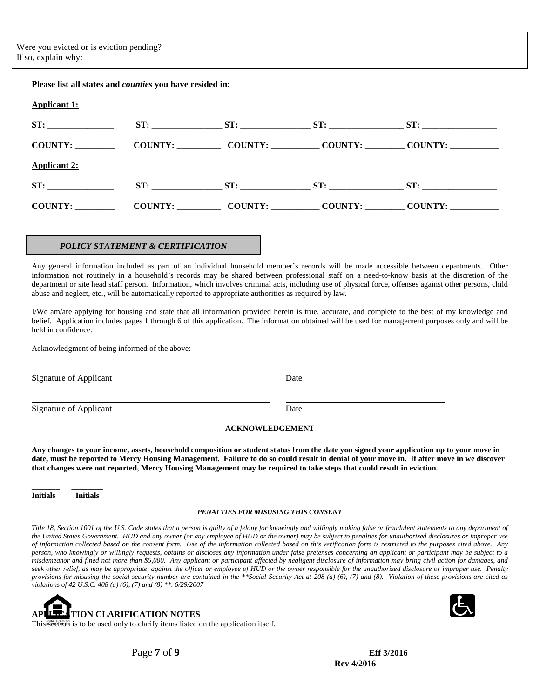| Were you evicted or is eviction pending?<br>If so, explain why: |                                                                 |  |                                                                                                                                                                                                                                  |  |
|-----------------------------------------------------------------|-----------------------------------------------------------------|--|----------------------------------------------------------------------------------------------------------------------------------------------------------------------------------------------------------------------------------|--|
|                                                                 | Please list all states and <i>counties</i> you have resided in: |  |                                                                                                                                                                                                                                  |  |
| <b>Applicant 1:</b>                                             |                                                                 |  |                                                                                                                                                                                                                                  |  |
|                                                                 |                                                                 |  |                                                                                                                                                                                                                                  |  |
| COUNTY:                                                         |                                                                 |  | COUNTY: COUNTY: COUNTY: COUNTY: COUNTY:                                                                                                                                                                                          |  |
| <b>Applicant 2:</b>                                             |                                                                 |  |                                                                                                                                                                                                                                  |  |
| ST:                                                             |                                                                 |  |                                                                                                                                                                                                                                  |  |
| COUNTY:                                                         |                                                                 |  | $COUNTY:$ COUNTY: COUNTY: COUNTY: COUNTY: COUNTY: COUNTY: COUNTY: COUNTY: COUNTY: COUNTY: COUNTY: COUNTY: COUNTY: COUNTY: COUNTY: COUNTY: COUNTY: COUNTY: COUNTY: COUNTY: COUNTY: COUNTY: COUNTY: COUNTY: COUNTY: COUNTY: COUNTY |  |

#### *POLICY STATEMENT & CERTIFICATION*

Any general information included as part of an individual household member's records will be made accessible between departments. Other information not routinely in a household's records may be shared between professional staff on a need-to-know basis at the discretion of the department or site head staff person. Information, which involves criminal acts, including use of physical force, offenses against other persons, child abuse and neglect, etc., will be automatically reported to appropriate authorities as required by law.

I/We am/are applying for housing and state that all information provided herein is true, accurate, and complete to the best of my knowledge and belief. Application includes pages 1 through 6 of this application. The information obtained will be used for management purposes only and will be held in confidence.

Acknowledgment of being informed of the above:

Signature of Applicant Date

l

l Signature of Applicant Date

**ACKNOWLEDGEMENT**

**Any changes to your income, assets, household composition or student status from the date you signed your application up to your move in date, must be reported to Mercy Housing Management. Failure to do so could result in denial of your move in. If after move in we discover that changes were not reported, Mercy Housing Management may be required to take steps that could result in eviction.**

**\_\_\_\_\_\_\_ \_\_\_\_\_\_\_\_ Initials Initials**

#### *PENALTIES FOR MISUSING THIS CONSENT*

*Title 18, Section 1001 of the U.S. Code states that a person is guilty of a felony for knowingly and willingly making false or fraudulent statements to any department of the United States Government. HUD and any owner (or any employee of HUD or the owner) may be subject to penalties for unauthorized disclosures or improper use of information collected based on the consent form. Use of the information collected based on this verification form is restricted to the purposes cited above. Any person, who knowingly or willingly requests, obtains or discloses any information under false pretenses concerning an applicant or participant may be subject to a misdemeanor and fined not more than \$5,000. Any applicant or participant affected by negligent disclosure of information may bring civil action for damages, and seek other relief, as may be appropriate, against the officer or employee of HUD or the owner responsible for the unauthorized disclosure or improper use. Penalty provisions for misusing the social security number are contained in the \*\*Social Security Act at 208 (a) (6), (7) and (8). Violation of these provisions are cited as violations of 42 U.S.C. 408 (a) (6), (7) and (8) \*\*. 6/29/2007*





Page **7** of **9** Eff 3/2016 **Rev 4/2016**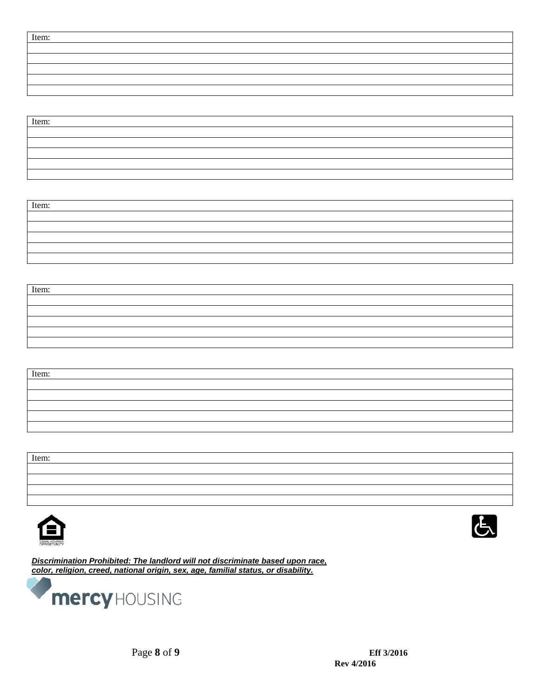| Item: |  |
|-------|--|
|       |  |
|       |  |
|       |  |
|       |  |
|       |  |

| Item: |  |
|-------|--|
|       |  |
|       |  |
|       |  |
|       |  |
|       |  |

| Item: |  |  |  |
|-------|--|--|--|
|       |  |  |  |
|       |  |  |  |
|       |  |  |  |
|       |  |  |  |
|       |  |  |  |



| Item: |  |  |
|-------|--|--|
|       |  |  |
|       |  |  |
|       |  |  |
|       |  |  |
|       |  |  |

| Item: |  |  |
|-------|--|--|
|       |  |  |
|       |  |  |
|       |  |  |
|       |  |  |





*Discrimination Prohibited: The landlord will not discriminate based upon race, color, religion, creed, national origin, sex, age, familial status, or disability.*